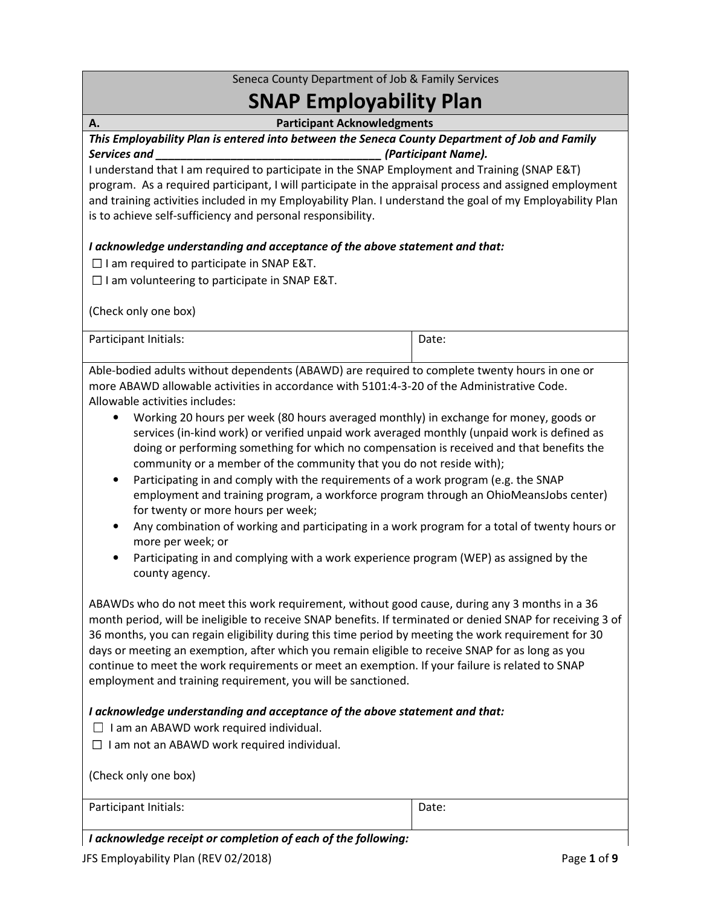## Seneca County Department of Job & Family Services

# SNAP Employability Plan

A. Participant Acknowledgments

This Employability Plan is entered into between the Seneca County Department of Job and Family Services and **Services and** the services and services and services and services and services and services and services and services and services are services and services and services are services and services are services

I understand that I am required to participate in the SNAP Employment and Training (SNAP E&T) program. As a required participant, I will participate in the appraisal process and assigned employment and training activities included in my Employability Plan. I understand the goal of my Employability Plan is to achieve self-sufficiency and personal responsibility.

#### I acknowledge understanding and acceptance of the above statement and that:

☐ I am required to participate in SNAP E&T.

 $\Box$  I am volunteering to participate in SNAP E&T.

(Check only one box)

| Participant Initials: | Date: |
|-----------------------|-------|
|                       |       |

Able-bodied adults without dependents (ABAWD) are required to complete twenty hours in one or more ABAWD allowable activities in accordance with 5101:4-3-20 of the Administrative Code. Allowable activities includes:

- Working 20 hours per week (80 hours averaged monthly) in exchange for money, goods or services (in-kind work) or verified unpaid work averaged monthly (unpaid work is defined as doing or performing something for which no compensation is received and that benefits the community or a member of the community that you do not reside with);
- Participating in and comply with the requirements of a work program (e.g. the SNAP employment and training program, a workforce program through an OhioMeansJobs center) for twenty or more hours per week;
- Any combination of working and participating in a work program for a total of twenty hours or more per week; or
- Participating in and complying with a work experience program (WEP) as assigned by the county agency.

ABAWDs who do not meet this work requirement, without good cause, during any 3 months in a 36 month period, will be ineligible to receive SNAP benefits. If terminated or denied SNAP for receiving 3 of 36 months, you can regain eligibility during this time period by meeting the work requirement for 30 days or meeting an exemption, after which you remain eligible to receive SNAP for as long as you continue to meet the work requirements or meet an exemption. If your failure is related to SNAP employment and training requirement, you will be sanctioned.

#### I acknowledge understanding and acceptance of the above statement and that:

 $\Box$  I am an ABAWD work required individual.

 $\Box$  I am not an ABAWD work required individual.

| (Check only one box)  |       |
|-----------------------|-------|
| Participant Initials: | Date: |

#### I acknowledge receipt or completion of each of the following: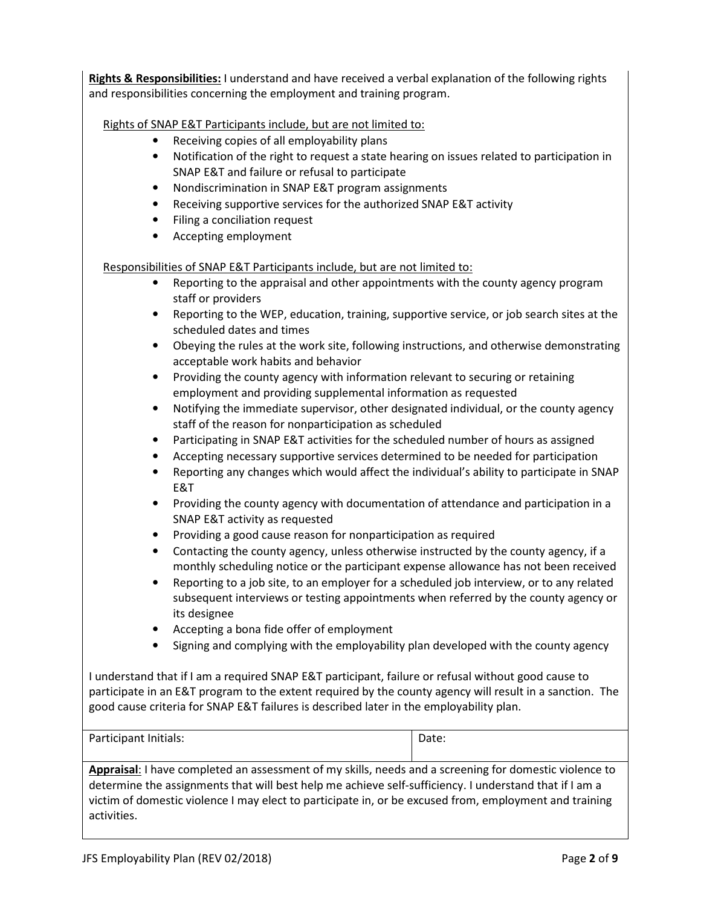Rights & Responsibilities: I understand and have received a verbal explanation of the following rights and responsibilities concerning the employment and training program.

Rights of SNAP E&T Participants include, but are not limited to:

- Receiving copies of all employability plans
- Notification of the right to request a state hearing on issues related to participation in SNAP E&T and failure or refusal to participate
- Nondiscrimination in SNAP E&T program assignments
- Receiving supportive services for the authorized SNAP E&T activity
- Filing a conciliation request
- Accepting employment

Responsibilities of SNAP E&T Participants include, but are not limited to:

- Reporting to the appraisal and other appointments with the county agency program staff or providers
- Reporting to the WEP, education, training, supportive service, or job search sites at the scheduled dates and times
- Obeying the rules at the work site, following instructions, and otherwise demonstrating acceptable work habits and behavior
- Providing the county agency with information relevant to securing or retaining employment and providing supplemental information as requested
- Notifying the immediate supervisor, other designated individual, or the county agency staff of the reason for nonparticipation as scheduled
- Participating in SNAP E&T activities for the scheduled number of hours as assigned
- Accepting necessary supportive services determined to be needed for participation
- Reporting any changes which would affect the individual's ability to participate in SNAP E&T
- Providing the county agency with documentation of attendance and participation in a SNAP E&T activity as requested
- Providing a good cause reason for nonparticipation as required
- Contacting the county agency, unless otherwise instructed by the county agency, if a monthly scheduling notice or the participant expense allowance has not been received
- Reporting to a job site, to an employer for a scheduled job interview, or to any related subsequent interviews or testing appointments when referred by the county agency or its designee
- Accepting a bona fide offer of employment
- Signing and complying with the employability plan developed with the county agency

I understand that if I am a required SNAP E&T participant, failure or refusal without good cause to participate in an E&T program to the extent required by the county agency will result in a sanction. The good cause criteria for SNAP E&T failures is described later in the employability plan.

| Participant Initials: | Date: |
|-----------------------|-------|
|                       |       |

Appraisal: I have completed an assessment of my skills, needs and a screening for domestic violence to determine the assignments that will best help me achieve self-sufficiency. I understand that if I am a victim of domestic violence I may elect to participate in, or be excused from, employment and training activities.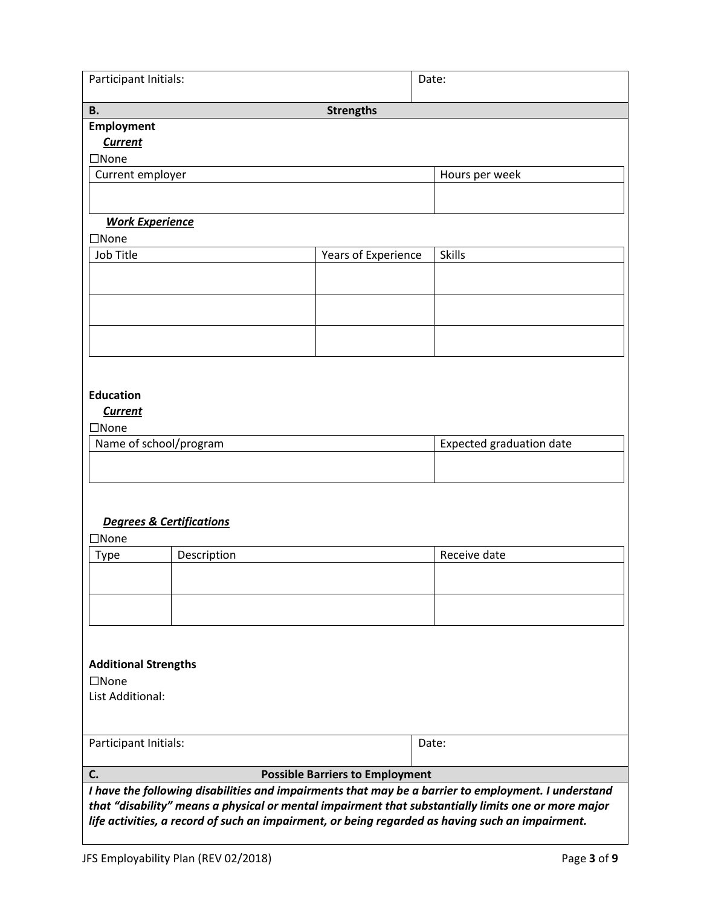| Participant Initials:                                                                                                                                                                                                                                                                                          |                                        | Date: |                                 |  |  |  |
|----------------------------------------------------------------------------------------------------------------------------------------------------------------------------------------------------------------------------------------------------------------------------------------------------------------|----------------------------------------|-------|---------------------------------|--|--|--|
| <b>B.</b>                                                                                                                                                                                                                                                                                                      | <b>Strengths</b>                       |       |                                 |  |  |  |
| <b>Employment</b><br><b>Current</b><br>$\square$ None                                                                                                                                                                                                                                                          |                                        |       |                                 |  |  |  |
| Current employer                                                                                                                                                                                                                                                                                               |                                        |       | Hours per week                  |  |  |  |
|                                                                                                                                                                                                                                                                                                                |                                        |       |                                 |  |  |  |
| <b>Work Experience</b>                                                                                                                                                                                                                                                                                         |                                        |       |                                 |  |  |  |
| $\square$ None                                                                                                                                                                                                                                                                                                 |                                        |       |                                 |  |  |  |
| Job Title                                                                                                                                                                                                                                                                                                      | Years of Experience                    |       | <b>Skills</b>                   |  |  |  |
|                                                                                                                                                                                                                                                                                                                |                                        |       |                                 |  |  |  |
|                                                                                                                                                                                                                                                                                                                |                                        |       |                                 |  |  |  |
|                                                                                                                                                                                                                                                                                                                |                                        |       |                                 |  |  |  |
| <b>Education</b><br><b>Current</b>                                                                                                                                                                                                                                                                             |                                        |       |                                 |  |  |  |
| $\square$ None<br>Name of school/program                                                                                                                                                                                                                                                                       |                                        |       | <b>Expected graduation date</b> |  |  |  |
|                                                                                                                                                                                                                                                                                                                |                                        |       |                                 |  |  |  |
|                                                                                                                                                                                                                                                                                                                |                                        |       |                                 |  |  |  |
| <b>Degrees &amp; Certifications</b><br>$\square$ None                                                                                                                                                                                                                                                          |                                        |       |                                 |  |  |  |
| Description<br><b>Type</b>                                                                                                                                                                                                                                                                                     |                                        |       | Receive date                    |  |  |  |
|                                                                                                                                                                                                                                                                                                                |                                        |       |                                 |  |  |  |
|                                                                                                                                                                                                                                                                                                                |                                        |       |                                 |  |  |  |
|                                                                                                                                                                                                                                                                                                                |                                        |       |                                 |  |  |  |
| <b>Additional Strengths</b><br>$\square$ None                                                                                                                                                                                                                                                                  |                                        |       |                                 |  |  |  |
| List Additional:                                                                                                                                                                                                                                                                                               |                                        |       |                                 |  |  |  |
|                                                                                                                                                                                                                                                                                                                |                                        |       |                                 |  |  |  |
| Participant Initials:                                                                                                                                                                                                                                                                                          |                                        | Date: |                                 |  |  |  |
| C.                                                                                                                                                                                                                                                                                                             | <b>Possible Barriers to Employment</b> |       |                                 |  |  |  |
| I have the following disabilities and impairments that may be a barrier to employment. I understand<br>that "disability" means a physical or mental impairment that substantially limits one or more major<br>life activities, a record of such an impairment, or being regarded as having such an impairment. |                                        |       |                                 |  |  |  |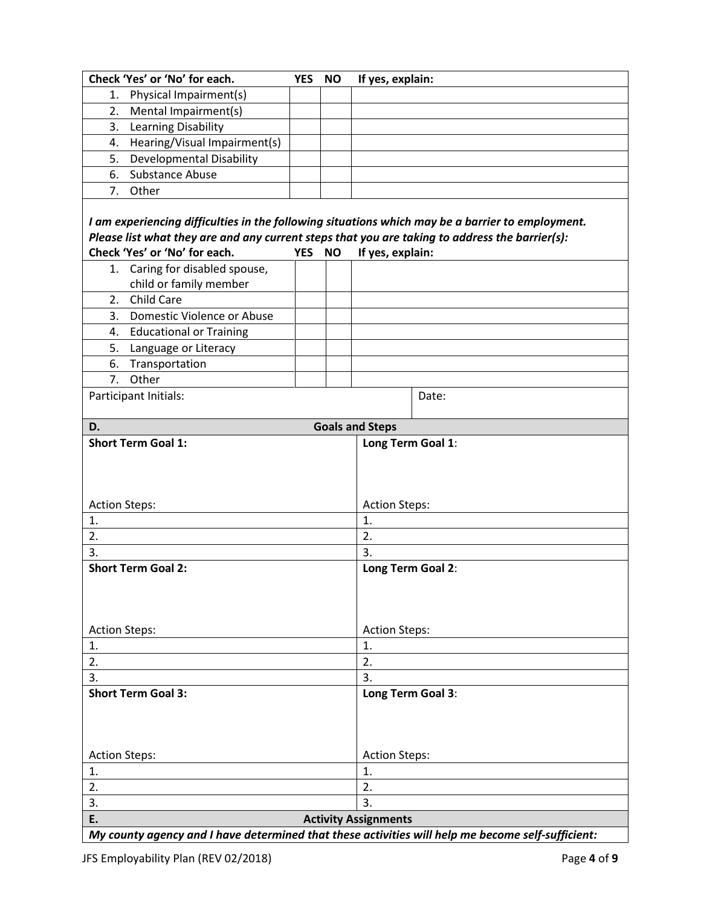| Check 'Yes' or 'No' for each.                                                                     | <b>YES</b> | <b>NO</b> | If yes, explain:       |                   |  |
|---------------------------------------------------------------------------------------------------|------------|-----------|------------------------|-------------------|--|
| Physical Impairment(s)<br>1.                                                                      |            |           |                        |                   |  |
| Mental Impairment(s)<br>2.                                                                        |            |           |                        |                   |  |
| Learning Disability<br>3.                                                                         |            |           |                        |                   |  |
| Hearing/Visual Impairment(s)<br>4.                                                                |            |           |                        |                   |  |
| <b>Developmental Disability</b><br>5.                                                             |            |           |                        |                   |  |
| Substance Abuse<br>6.                                                                             |            |           |                        |                   |  |
| Other<br>7.                                                                                       |            |           |                        |                   |  |
|                                                                                                   |            |           |                        |                   |  |
| I am experiencing difficulties in the following situations which may be a barrier to employment.  |            |           |                        |                   |  |
| Please list what they are and any current steps that you are taking to address the barrier(s):    |            |           |                        |                   |  |
| Check 'Yes' or 'No' for each.                                                                     | YES NO     |           | If yes, explain:       |                   |  |
| Caring for disabled spouse,<br>1.                                                                 |            |           |                        |                   |  |
| child or family member                                                                            |            |           |                        |                   |  |
| 2. Child Care                                                                                     |            |           |                        |                   |  |
| Domestic Violence or Abuse<br>3.                                                                  |            |           |                        |                   |  |
| <b>Educational or Training</b><br>4.                                                              |            |           |                        |                   |  |
| 5.<br>Language or Literacy                                                                        |            |           |                        |                   |  |
| Transportation<br>6.                                                                              |            |           |                        |                   |  |
| Other<br>7.                                                                                       |            |           |                        |                   |  |
| Participant Initials:                                                                             |            |           |                        | Date:             |  |
|                                                                                                   |            |           |                        |                   |  |
| D.                                                                                                |            |           | <b>Goals and Steps</b> |                   |  |
| <b>Short Term Goal 1:</b>                                                                         |            |           | Long Term Goal 1:      |                   |  |
|                                                                                                   |            |           |                        |                   |  |
|                                                                                                   |            |           |                        |                   |  |
|                                                                                                   |            |           |                        |                   |  |
| <b>Action Steps:</b>                                                                              |            |           | <b>Action Steps:</b>   |                   |  |
| 1.                                                                                                |            |           | 1.                     |                   |  |
| 2.                                                                                                |            |           | 2.                     |                   |  |
| 3.                                                                                                |            |           | 3.                     |                   |  |
| <b>Short Term Goal 2:</b>                                                                         |            |           |                        | Long Term Goal 2: |  |
|                                                                                                   |            |           |                        |                   |  |
|                                                                                                   |            |           |                        |                   |  |
|                                                                                                   |            |           |                        |                   |  |
| <b>Action Steps:</b>                                                                              |            |           | <b>Action Steps:</b>   |                   |  |
| 1.                                                                                                |            |           | 1.                     |                   |  |
| 2.                                                                                                |            |           | 2.                     |                   |  |
| 3.                                                                                                |            |           | 3.                     |                   |  |
| <b>Short Term Goal 3:</b>                                                                         |            |           | Long Term Goal 3:      |                   |  |
|                                                                                                   |            |           |                        |                   |  |
|                                                                                                   |            |           |                        |                   |  |
|                                                                                                   |            |           |                        |                   |  |
| <b>Action Steps:</b>                                                                              |            |           | <b>Action Steps:</b>   |                   |  |
| 1.                                                                                                |            |           | 1.                     |                   |  |
| 2.                                                                                                |            |           | 2.                     |                   |  |
| 3.<br>3.                                                                                          |            |           |                        |                   |  |
| E.<br><b>Activity Assignments</b>                                                                 |            |           |                        |                   |  |
| My county agency and I have determined that these activities will help me become self-sufficient: |            |           |                        |                   |  |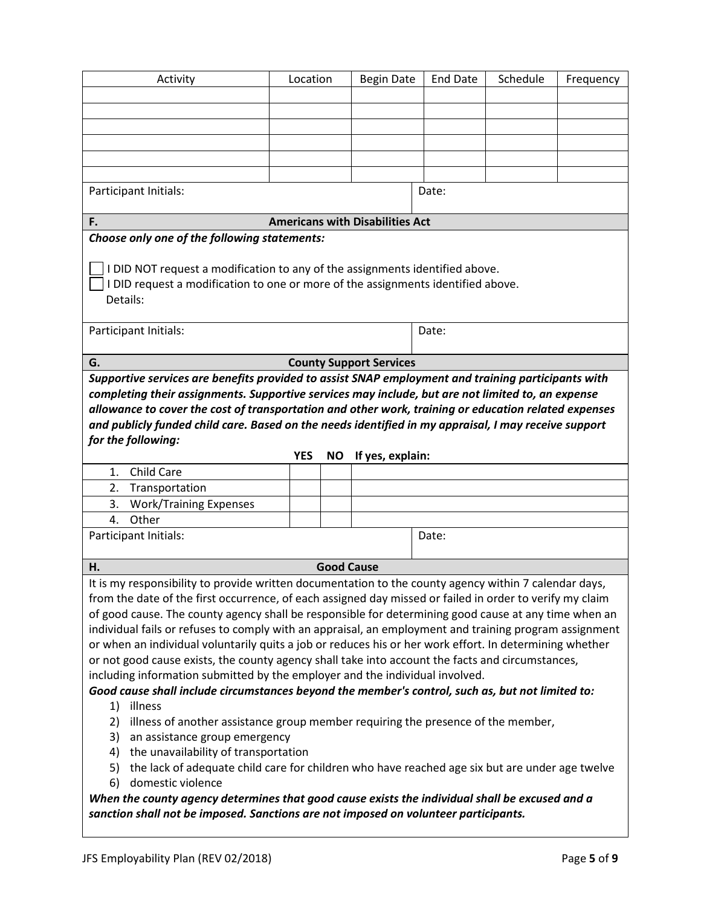| Activity                                                                                                                                                                                                                                                                                                                                                                                                                                                                                                                                                                                                                                                                                                                                                                                                                                                                                                                                                                                                                                                                                                                                                                                                                                                                    | Location |                   | <b>Begin Date</b>                      | <b>End Date</b> | Schedule | Frequency |
|-----------------------------------------------------------------------------------------------------------------------------------------------------------------------------------------------------------------------------------------------------------------------------------------------------------------------------------------------------------------------------------------------------------------------------------------------------------------------------------------------------------------------------------------------------------------------------------------------------------------------------------------------------------------------------------------------------------------------------------------------------------------------------------------------------------------------------------------------------------------------------------------------------------------------------------------------------------------------------------------------------------------------------------------------------------------------------------------------------------------------------------------------------------------------------------------------------------------------------------------------------------------------------|----------|-------------------|----------------------------------------|-----------------|----------|-----------|
|                                                                                                                                                                                                                                                                                                                                                                                                                                                                                                                                                                                                                                                                                                                                                                                                                                                                                                                                                                                                                                                                                                                                                                                                                                                                             |          |                   |                                        |                 |          |           |
|                                                                                                                                                                                                                                                                                                                                                                                                                                                                                                                                                                                                                                                                                                                                                                                                                                                                                                                                                                                                                                                                                                                                                                                                                                                                             |          |                   |                                        |                 |          |           |
|                                                                                                                                                                                                                                                                                                                                                                                                                                                                                                                                                                                                                                                                                                                                                                                                                                                                                                                                                                                                                                                                                                                                                                                                                                                                             |          |                   |                                        |                 |          |           |
|                                                                                                                                                                                                                                                                                                                                                                                                                                                                                                                                                                                                                                                                                                                                                                                                                                                                                                                                                                                                                                                                                                                                                                                                                                                                             |          |                   |                                        |                 |          |           |
|                                                                                                                                                                                                                                                                                                                                                                                                                                                                                                                                                                                                                                                                                                                                                                                                                                                                                                                                                                                                                                                                                                                                                                                                                                                                             |          |                   |                                        |                 |          |           |
| Participant Initials:                                                                                                                                                                                                                                                                                                                                                                                                                                                                                                                                                                                                                                                                                                                                                                                                                                                                                                                                                                                                                                                                                                                                                                                                                                                       |          |                   |                                        | Date:           |          |           |
|                                                                                                                                                                                                                                                                                                                                                                                                                                                                                                                                                                                                                                                                                                                                                                                                                                                                                                                                                                                                                                                                                                                                                                                                                                                                             |          |                   |                                        |                 |          |           |
| F.                                                                                                                                                                                                                                                                                                                                                                                                                                                                                                                                                                                                                                                                                                                                                                                                                                                                                                                                                                                                                                                                                                                                                                                                                                                                          |          |                   | <b>Americans with Disabilities Act</b> |                 |          |           |
| Choose only one of the following statements:                                                                                                                                                                                                                                                                                                                                                                                                                                                                                                                                                                                                                                                                                                                                                                                                                                                                                                                                                                                                                                                                                                                                                                                                                                |          |                   |                                        |                 |          |           |
| I DID NOT request a modification to any of the assignments identified above.<br>I DID request a modification to one or more of the assignments identified above.<br>Details:                                                                                                                                                                                                                                                                                                                                                                                                                                                                                                                                                                                                                                                                                                                                                                                                                                                                                                                                                                                                                                                                                                |          |                   |                                        |                 |          |           |
| Participant Initials:                                                                                                                                                                                                                                                                                                                                                                                                                                                                                                                                                                                                                                                                                                                                                                                                                                                                                                                                                                                                                                                                                                                                                                                                                                                       |          |                   |                                        | Date:           |          |           |
| G.                                                                                                                                                                                                                                                                                                                                                                                                                                                                                                                                                                                                                                                                                                                                                                                                                                                                                                                                                                                                                                                                                                                                                                                                                                                                          |          |                   | <b>County Support Services</b>         |                 |          |           |
| Supportive services are benefits provided to assist SNAP employment and training participants with                                                                                                                                                                                                                                                                                                                                                                                                                                                                                                                                                                                                                                                                                                                                                                                                                                                                                                                                                                                                                                                                                                                                                                          |          |                   |                                        |                 |          |           |
| completing their assignments. Supportive services may include, but are not limited to, an expense<br>allowance to cover the cost of transportation and other work, training or education related expenses<br>and publicly funded child care. Based on the needs identified in my appraisal, I may receive support<br>for the following:<br><b>YES</b><br>If yes, explain:<br><b>NO</b>                                                                                                                                                                                                                                                                                                                                                                                                                                                                                                                                                                                                                                                                                                                                                                                                                                                                                      |          |                   |                                        |                 |          |           |
| Child Care<br>1.                                                                                                                                                                                                                                                                                                                                                                                                                                                                                                                                                                                                                                                                                                                                                                                                                                                                                                                                                                                                                                                                                                                                                                                                                                                            |          |                   |                                        |                 |          |           |
| 2.<br>Transportation                                                                                                                                                                                                                                                                                                                                                                                                                                                                                                                                                                                                                                                                                                                                                                                                                                                                                                                                                                                                                                                                                                                                                                                                                                                        |          |                   |                                        |                 |          |           |
| <b>Work/Training Expenses</b><br>3.                                                                                                                                                                                                                                                                                                                                                                                                                                                                                                                                                                                                                                                                                                                                                                                                                                                                                                                                                                                                                                                                                                                                                                                                                                         |          |                   |                                        |                 |          |           |
| Other<br>4.                                                                                                                                                                                                                                                                                                                                                                                                                                                                                                                                                                                                                                                                                                                                                                                                                                                                                                                                                                                                                                                                                                                                                                                                                                                                 |          |                   |                                        |                 |          |           |
| Participant Initials:                                                                                                                                                                                                                                                                                                                                                                                                                                                                                                                                                                                                                                                                                                                                                                                                                                                                                                                                                                                                                                                                                                                                                                                                                                                       |          |                   |                                        | Date:           |          |           |
| Н.                                                                                                                                                                                                                                                                                                                                                                                                                                                                                                                                                                                                                                                                                                                                                                                                                                                                                                                                                                                                                                                                                                                                                                                                                                                                          |          | <b>Good Cause</b> |                                        |                 |          |           |
| It is my responsibility to provide written documentation to the county agency within 7 calendar days,<br>from the date of the first occurrence, of each assigned day missed or failed in order to verify my claim<br>of good cause. The county agency shall be responsible for determining good cause at any time when an<br>individual fails or refuses to comply with an appraisal, an employment and training program assignment<br>or when an individual voluntarily quits a job or reduces his or her work effort. In determining whether<br>or not good cause exists, the county agency shall take into account the facts and circumstances,<br>including information submitted by the employer and the individual involved.<br>Good cause shall include circumstances beyond the member's control, such as, but not limited to:<br>illness<br>1)<br>illness of another assistance group member requiring the presence of the member,<br>2)<br>an assistance group emergency<br>3)<br>the unavailability of transportation<br>4)<br>the lack of adequate child care for children who have reached age six but are under age twelve<br>5)<br>domestic violence<br>6)<br>When the county agency determines that good cause exists the individual shall be excused and a |          |                   |                                        |                 |          |           |
| sanction shall not be imposed. Sanctions are not imposed on volunteer participants.                                                                                                                                                                                                                                                                                                                                                                                                                                                                                                                                                                                                                                                                                                                                                                                                                                                                                                                                                                                                                                                                                                                                                                                         |          |                   |                                        |                 |          |           |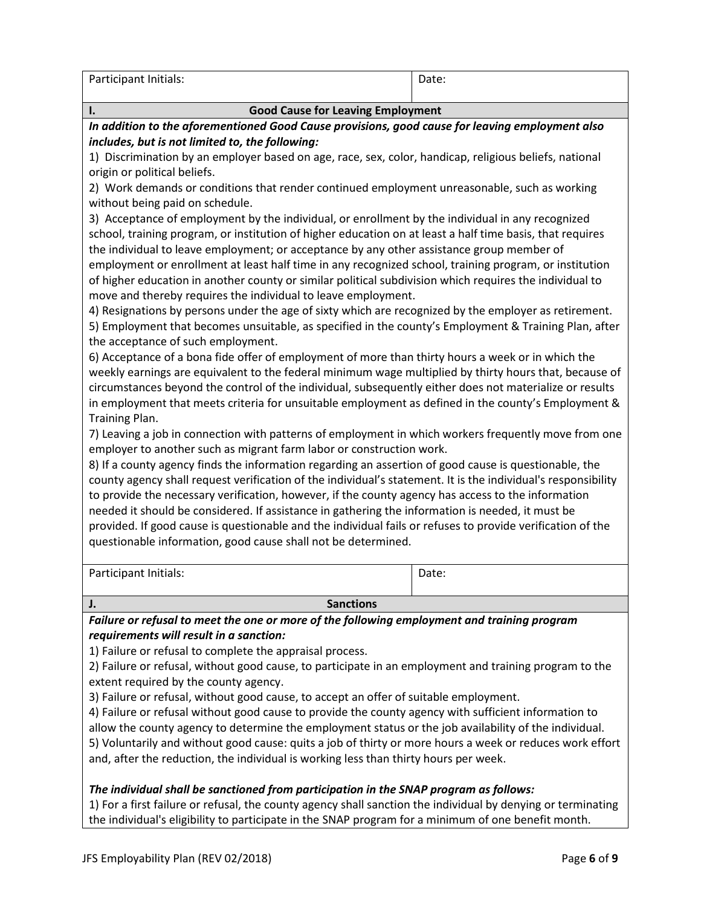| Participant Initials: | Date. |
|-----------------------|-------|
|                       |       |

## I. Good Cause for Leaving Employment In addition to the aforementioned Good Cause provisions, good cause for leaving employment also includes, but is not limited to, the following: 1) Discrimination by an employer based on age, race, sex, color, handicap, religious beliefs, national origin or political beliefs. 2) Work demands or conditions that render continued employment unreasonable, such as working without being paid on schedule. 3) Acceptance of employment by the individual, or enrollment by the individual in any recognized school, training program, or institution of higher education on at least a half time basis, that requires the individual to leave employment; or acceptance by any other assistance group member of employment or enrollment at least half time in any recognized school, training program, or institution of higher education in another county or similar political subdivision which requires the individual to move and thereby requires the individual to leave employment. 4) Resignations by persons under the age of sixty which are recognized by the employer as retirement. 5) Employment that becomes unsuitable, as specified in the county's Employment & Training Plan, after the acceptance of such employment. 6) Acceptance of a bona fide offer of employment of more than thirty hours a week or in which the weekly earnings are equivalent to the federal minimum wage multiplied by thirty hours that, because of circumstances beyond the control of the individual, subsequently either does not materialize or results in employment that meets criteria for unsuitable employment as defined in the county's Employment & Training Plan. 7) Leaving a job in connection with patterns of employment in which workers frequently move from one employer to another such as migrant farm labor or construction work. 8) If a county agency finds the information regarding an assertion of good cause is questionable, the county agency shall request verification of the individual's statement. It is the individual's responsibility to provide the necessary verification, however, if the county agency has access to the information needed it should be considered. If assistance in gathering the information is needed, it must be provided. If good cause is questionable and the individual fails or refuses to provide verification of the questionable information, good cause shall not be determined. Participant Initials: Date: **J.** Sanctions **Sanctions** Failure or refusal to meet the one or more of the following employment and training program

requirements will result in a sanction:

1) Failure or refusal to complete the appraisal process.

2) Failure or refusal, without good cause, to participate in an employment and training program to the extent required by the county agency.

3) Failure or refusal, without good cause, to accept an offer of suitable employment.

4) Failure or refusal without good cause to provide the county agency with sufficient information to allow the county agency to determine the employment status or the job availability of the individual.

5) Voluntarily and without good cause: quits a job of thirty or more hours a week or reduces work effort and, after the reduction, the individual is working less than thirty hours per week.

#### The individual shall be sanctioned from participation in the SNAP program as follows:

1) For a first failure or refusal, the county agency shall sanction the individual by denying or terminating the individual's eligibility to participate in the SNAP program for a minimum of one benefit month.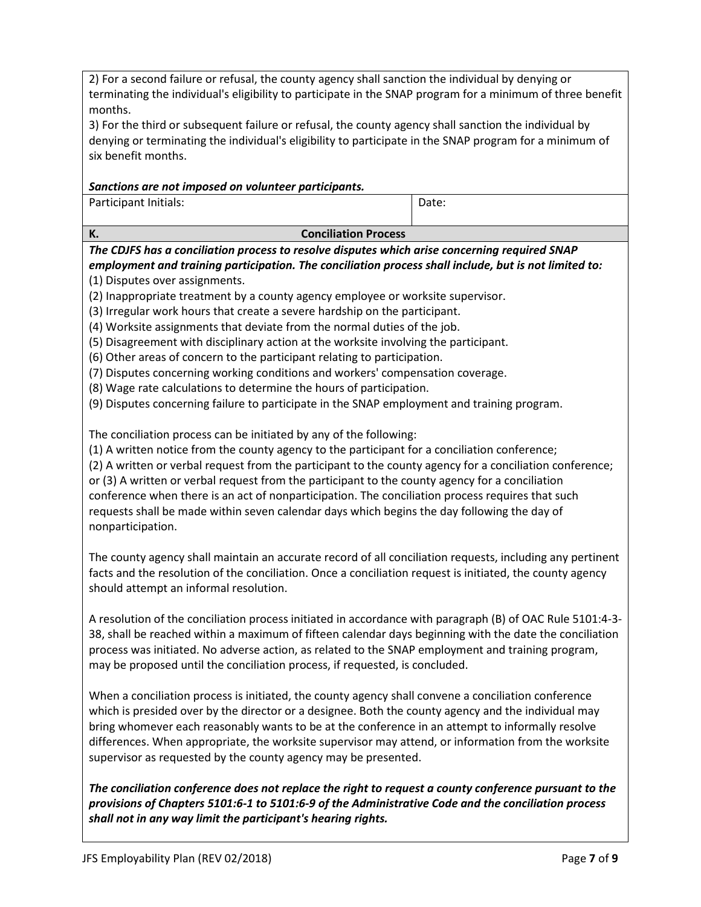2) For a second failure or refusal, the county agency shall sanction the individual by denying or terminating the individual's eligibility to participate in the SNAP program for a minimum of three benefit months.

3) For the third or subsequent failure or refusal, the county agency shall sanction the individual by denying or terminating the individual's eligibility to participate in the SNAP program for a minimum of six benefit months.

### Sanctions are not imposed on volunteer participants.

Participant Initials:

Date:

K. Conciliation Process

The CDJFS has a conciliation process to resolve disputes which arise concerning required SNAP employment and training participation. The conciliation process shall include, but is not limited to: (1) Disputes over assignments.

(2) Inappropriate treatment by a county agency employee or worksite supervisor.

(3) Irregular work hours that create a severe hardship on the participant.

(4) Worksite assignments that deviate from the normal duties of the job.

(5) Disagreement with disciplinary action at the worksite involving the participant.

(6) Other areas of concern to the participant relating to participation.

(7) Disputes concerning working conditions and workers' compensation coverage.

(8) Wage rate calculations to determine the hours of participation.

(9) Disputes concerning failure to participate in the SNAP employment and training program.

The conciliation process can be initiated by any of the following:

(1) A written notice from the county agency to the participant for a conciliation conference;

(2) A written or verbal request from the participant to the county agency for a conciliation conference;

or (3) A written or verbal request from the participant to the county agency for a conciliation conference when there is an act of nonparticipation. The conciliation process requires that such requests shall be made within seven calendar days which begins the day following the day of nonparticipation.

The county agency shall maintain an accurate record of all conciliation requests, including any pertinent facts and the resolution of the conciliation. Once a conciliation request is initiated, the county agency should attempt an informal resolution.

A resolution of the conciliation process initiated in accordance with paragraph (B) of OAC Rule 5101:4-3- 38, shall be reached within a maximum of fifteen calendar days beginning with the date the conciliation process was initiated. No adverse action, as related to the SNAP employment and training program, may be proposed until the conciliation process, if requested, is concluded.

When a conciliation process is initiated, the county agency shall convene a conciliation conference which is presided over by the director or a designee. Both the county agency and the individual may bring whomever each reasonably wants to be at the conference in an attempt to informally resolve differences. When appropriate, the worksite supervisor may attend, or information from the worksite supervisor as requested by the county agency may be presented.

The conciliation conference does not replace the right to request a county conference pursuant to the provisions of Chapters 5101:6-1 to 5101:6-9 of the Administrative Code and the conciliation process shall not in any way limit the participant's hearing rights.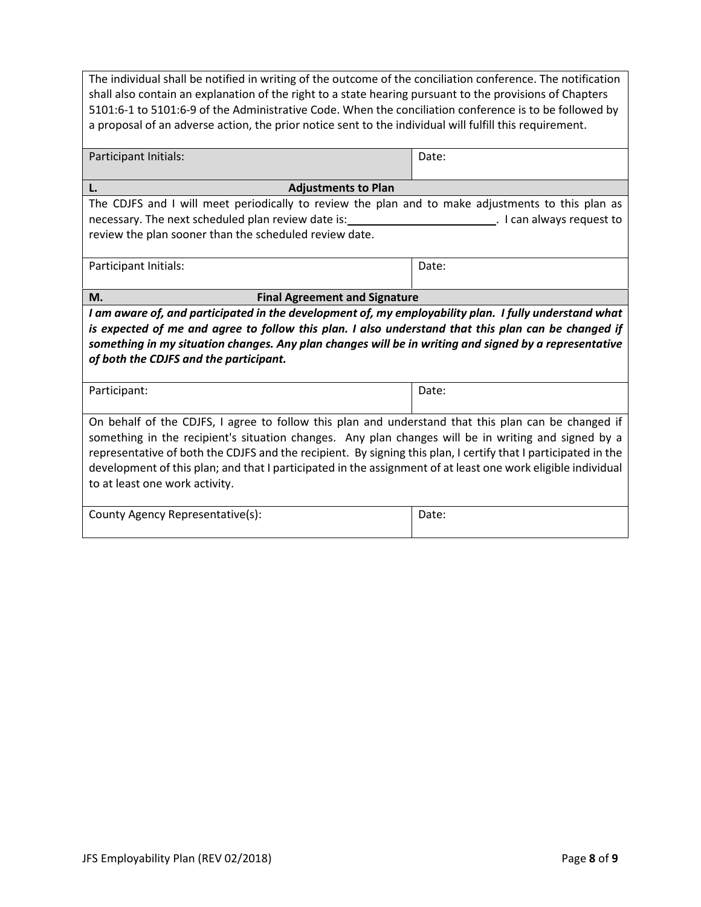| The individual shall be notified in writing of the outcome of the conciliation conference. The notification<br>shall also contain an explanation of the right to a state hearing pursuant to the provisions of Chapters<br>5101:6-1 to 5101:6-9 of the Administrative Code. When the conciliation conference is to be followed by<br>a proposal of an adverse action, the prior notice sent to the individual will fulfill this requirement.                                                                                |       |  |  |  |  |
|-----------------------------------------------------------------------------------------------------------------------------------------------------------------------------------------------------------------------------------------------------------------------------------------------------------------------------------------------------------------------------------------------------------------------------------------------------------------------------------------------------------------------------|-------|--|--|--|--|
| Participant Initials:<br>Date:                                                                                                                                                                                                                                                                                                                                                                                                                                                                                              |       |  |  |  |  |
| L.<br><b>Adjustments to Plan</b>                                                                                                                                                                                                                                                                                                                                                                                                                                                                                            |       |  |  |  |  |
| The CDJFS and I will meet periodically to review the plan and to make adjustments to this plan as<br>necessary. The next scheduled plan review date is: 1.1 Can always request to necessary. The next scheduled plan review date is:<br>review the plan sooner than the scheduled review date.                                                                                                                                                                                                                              |       |  |  |  |  |
| Participant Initials:                                                                                                                                                                                                                                                                                                                                                                                                                                                                                                       | Date: |  |  |  |  |
| <b>Final Agreement and Signature</b><br>М.                                                                                                                                                                                                                                                                                                                                                                                                                                                                                  |       |  |  |  |  |
| I am aware of, and participated in the development of, my employability plan. I fully understand what<br>is expected of me and agree to follow this plan. I also understand that this plan can be changed if<br>something in my situation changes. Any plan changes will be in writing and signed by a representative<br>of both the CDJFS and the participant.                                                                                                                                                             |       |  |  |  |  |
| Participant:                                                                                                                                                                                                                                                                                                                                                                                                                                                                                                                | Date: |  |  |  |  |
| On behalf of the CDJFS, I agree to follow this plan and understand that this plan can be changed if<br>something in the recipient's situation changes. Any plan changes will be in writing and signed by a<br>representative of both the CDJFS and the recipient. By signing this plan, I certify that I participated in the<br>development of this plan; and that I participated in the assignment of at least one work eligible individual<br>to at least one work activity.<br>County Agency Representative(s):<br>Date: |       |  |  |  |  |
|                                                                                                                                                                                                                                                                                                                                                                                                                                                                                                                             |       |  |  |  |  |